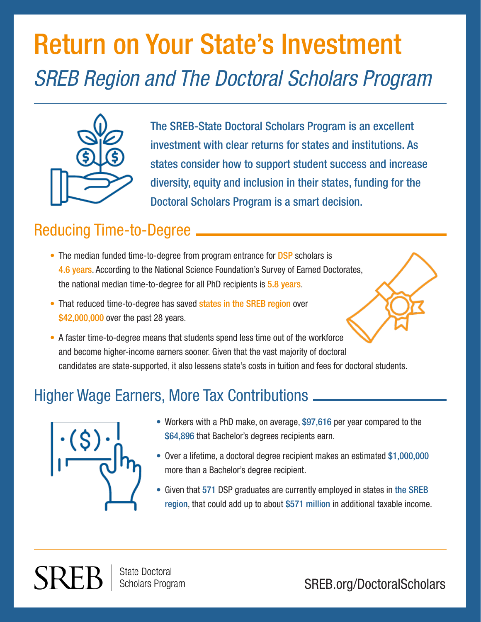# Return on Your State's Investment *SREB Region and The Doctoral Scholars Program*



The SREB-State Doctoral Scholars Program is an excellent investment with clear returns for states and institutions. As states consider how to support student success and increase diversity, equity and inclusion in their states, funding for the Doctoral Scholars Program is a smart decision.

## Reducing Time-to-Degree

- The median funded time-to-degree from program entrance for **DSP** scholars is 4.6 years. According to the National Science Foundation's Survey of Earned Doctorates, the national median time-to-degree for all PhD recipients is 5.8 years.
- That reduced time-to-degree has saved states in the SREB region over \$42,000,000 over the past 28 years.
- A faster time-to-degree means that students spend less time out of the workforce and become higher-income earners sooner. Given that the vast majority of doctoral candidates are state-supported, it also lessens state's costs in tuition and fees for doctoral students.

## Higher Wage Earners, More Tax Contributions



- Workers with a PhD make, on average, \$97,616 per year compared to the \$64,896 that Bachelor's degrees recipients earn.
- Over a lifetime, a doctoral degree recipient makes an estimated \$1,000,000 more than a Bachelor's degree recipient.
- Given that 571 DSP graduates are currently employed in states in the SREB region, that could add up to about \$571 million in additional taxable income.
- 

State Doctoral Scholars Program

SREB.org/DoctoralScholars